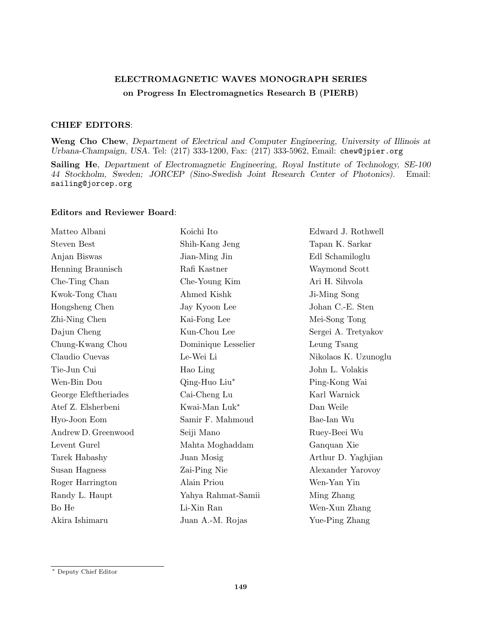## ELECTROMAGNETIC WAVES MONOGRAPH SERIES on Progress In Electromagnetics Research B (PIERB)

## CHIEF EDITORS:

Weng Cho Chew, Department of Electrical and Computer Engineering, University of Illinois at Urbana-Champaign, USA. Tel: (217) 333-1200, Fax: (217) 333-5962, Email: chew@jpier.org

Sailing He, Department of Electromagnetic Engineering, Royal Institute of Technology, SE-100 44 Stockholm, Sweden; JORCEP (Sino-Swedish Joint Research Center of Photonics). Email: sailing@jorcep.org

## Editors and Reviewer Board:

| Matteo Albani        | Koichi Ito          | Edward J. Rothwell   |
|----------------------|---------------------|----------------------|
| <b>Steven Best</b>   | Shih-Kang Jeng      | Tapan K. Sarkar      |
| Anjan Biswas         | Jian-Ming Jin       | Edl Schamiloglu      |
| Henning Braunisch    | Rafi Kastner        | Waymond Scott        |
| Che-Ting Chan        | Che-Young Kim       | Ari H. Sihvola       |
| Kwok-Tong Chau       | Ahmed Kishk         | Ji-Ming Song         |
| Hongsheng Chen       | Jay Kyoon Lee       | Johan C.-E. Sten     |
| Zhi-Ning Chen        | Kai-Fong Lee        | Mei-Song Tong        |
| Dajun Cheng          | Kun-Chou Lee        | Sergei A. Tretyakov  |
| Chung-Kwang Chou     | Dominique Lesselier | Leung Tsang          |
| Claudio Cuevas       | Le-Wei Li           | Nikolaos K. Uzunoglu |
| Tie-Jun Cui          | Hao Ling            | John L. Volakis      |
| Wen-Bin Dou          | Qing-Huo Liu*       | Ping-Kong Wai        |
| George Eleftheriades | Cai-Cheng Lu        | Karl Warnick         |
| Atef Z. Elsherbeni   | Kwai-Man Luk*       | Dan Weile            |
| Hyo-Joon Eom         | Samir F. Mahmoud    | Bae-Ian Wu           |
| Andrew D. Greenwood  | Seiji Mano          | Ruey-Beei Wu         |
| Levent Gurel         | Mahta Moghaddam     | Ganquan Xie          |
| Tarek Habashy        | Juan Mosig          | Arthur D. Yaghjian   |
| Susan Hagness        | Zai-Ping Nie        | Alexander Yarovoy    |
| Roger Harrington     | Alain Priou         | Wen-Yan Yin          |
| Randy L. Haupt       | Yahya Rahmat-Samii  | Ming Zhang           |
| Bo He                | Li-Xin Ran          | Wen-Xun Zhang        |
| Akira Ishimaru       | Juan A.-M. Rojas    | Yue-Ping Zhang       |

<sup>∗</sup> Deputy Chief Editor